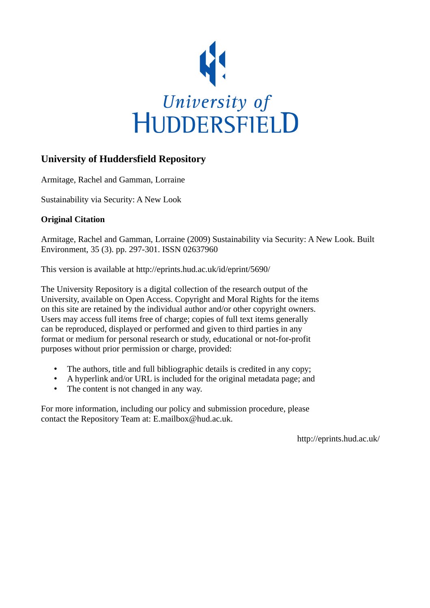

# **University of Huddersfield Repository**

Armitage, Rachel and Gamman, Lorraine

Sustainability via Security: A New Look

# **Original Citation**

Armitage, Rachel and Gamman, Lorraine (2009) Sustainability via Security: A New Look. Built Environment, 35 (3). pp. 297-301. ISSN 02637960

This version is available at http://eprints.hud.ac.uk/id/eprint/5690/

The University Repository is a digital collection of the research output of the University, available on Open Access. Copyright and Moral Rights for the items on this site are retained by the individual author and/or other copyright owners. Users may access full items free of charge; copies of full text items generally can be reproduced, displayed or performed and given to third parties in any format or medium for personal research or study, educational or not-for-profit purposes without prior permission or charge, provided:

- The authors, title and full bibliographic details is credited in any copy;
- A hyperlink and/or URL is included for the original metadata page; and
- The content is not changed in any way.

For more information, including our policy and submission procedure, please contact the Repository Team at: E.mailbox@hud.ac.uk.

http://eprints.hud.ac.uk/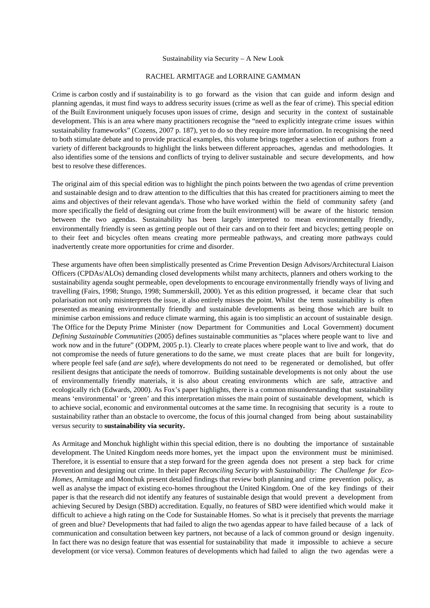#### Sustainability via Security – A New Look

## RACHEL ARMITAGE and LORRAINE GAMMAN

Crime is carbon costly and if sustainability is to go forward as the vision that can guide and inform design and planning agendas, it must find ways to address security issues (crime as well as the fear of crime). This special edition of the Built Environment uniquely focuses upon issues of crime, design and security in the context of sustainable development. This is an area where many practitioners recognise the "need to explicitly integrate crime issues within sustainability frameworks" (Cozens, 2007 p. 187), yet to do so they require more information. In recognising the need to both stimulate debate and to provide practical examples, this volume brings together a selection of authors from a variety of different backgrounds to highlight the links between different approaches, agendas and methodologies. It also identifies some of the tensions and conflicts of trying to deliver sustainable and secure developments, and how best to resolve these differences.

The original aim of this special edition was to highlight the pinch points between the two agendas of crime prevention and sustainable design and to draw attention to the difficulties that this has created for practitioners aiming to meet the aims and objectives of their relevant agenda/s. Those who have worked within the field of community safety (and more specifically the field of designing out crime from the built environment) will be aware of the historic tension between the two agendas. Sustainability has been largely interpreted to mean environmentally friendly, environmentally friendly is seen as getting people out of their cars and on to their feet and bicycles; getting people on to their feet and bicycles often means creating more permeable pathways, and creating more pathways could inadvertently create more opportunities for crime and disorder.

These arguments have often been simplistically presented as Crime Prevention Design Advisors/Architectural Liaison Officers (CPDAs/ALOs) demanding closed developments whilst many architects, planners and others working to the sustainability agenda sought permeable, open developments to encourage environmentally friendly ways of living and travelling (Fairs, 1998; Stungo, 1998; Summerskill, 2000). Yet as this edition progressed, it became clear that such polarisation not only misinterprets the issue, it also entirely misses the point. Whilst the term sustainability is often presented as meaning environmentally friendly and sustainable developments as being those which are built to minimise carbon emissions and reduce climate warming, this again is too simplistic an account of sustainable design. The Office for the Deputy Prime Minister (now Department for Communities and Local Government) document *Defining Sustainable Communities* (2005) defines sustainable communities as "places where people want to live and work now and in the future" (ODPM, 2005 p.1). Clearly to create places where people want to live and work, that do not compromise the needs of future generations to do the same, we must create places that are built for longevity, where people feel safe (and *are safe*), where developments do not need to be regenerated or demolished, but offer resilient designs that anticipate the needs of tomorrow. Building sustainable developments is not only about the use of environmentally friendly materials, it is also about creating environments which are safe, attractive and ecologically rich (Edwards, 2000). As Fox's paper highlights, there is a common misunderstanding that sustainability means 'environmental' or 'green' and this interpretation misses the main point of sustainable development, which is to achieve social, economic and environmental outcomes at the same time. In recognising that security is a route to sustainability rather than an obstacle to overcome, the focus of this journal changed from being about sustainability versus security to **sustainability via security.**

As Armitage and Monchuk highlight within this special edition, there is no doubting the importance of sustainable development. The United Kingdom needs more homes, yet the impact upon the environment must be minimised. Therefore, it is essential to ensure that a step forward for the green agenda does not present a step back for crime prevention and designing out crime. In their paper *Reconciling Security with Sustainability: The Challenge for Eco-Homes, Armitage and Monchuk present detailed findings that review both planning and crime prevention policy, as* well as analyse the impact of existing eco-homes throughout the United Kingdom. One of the key findings of their paper is that the research did not identify any features of sustainable design that would prevent a development from achieving Secured by Design (SBD) accreditation. Equally, no features of SBD were identified which would make it difficult to achieve a high rating on the Code for Sustainable Homes. So what is it precisely that prevents the marriage of green and blue? Developments that had failed to align the two agendas appear to have failed because of a lack of communication and consultation between key partners, not because of a lack of common ground or design ingenuity. In fact there was no design feature that was essential for sustainability that made it impossible to achieve a secure development (or vice versa). Common features of developments which had failed to align the two agendas were a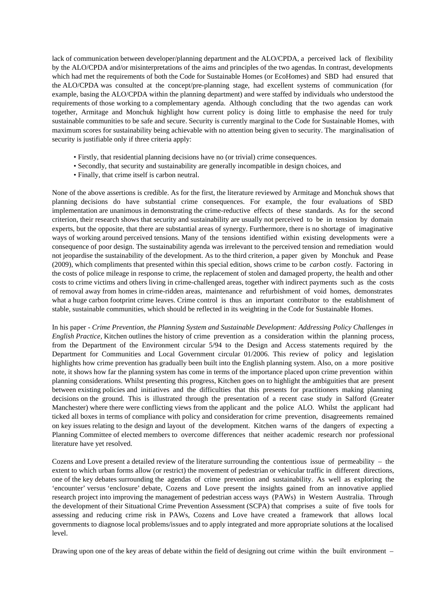lack of communication between developer/planning department and the ALO/CPDA, a perceived lack of flexibility by the ALO/CPDA and/or misinterpretations of the aims and principles of the two agendas. In contrast, developments which had met the requirements of both the Code for Sustainable Homes (or EcoHomes) and SBD had ensured that the ALO/CPDA was consulted at the concept/pre-planning stage, had excellent systems of communication (for example, basing the ALO/CPDA within the planning department) and were staffed by individuals who understood the requirements of those working to a complementary agenda. Although concluding that the two agendas can work together, Armitage and Monchuk highlight how current policy is doing little to emphasise the need for truly sustainable communities to be safe and secure. Security is currently marginal to the Code for Sustainable Homes, with maximum scores for sustainability being achievable with no attention being given to security. The marginalisation of security is justifiable only if three criteria apply:

- Firstly, that residential planning decisions have no (or trivial) crime consequences.
- Secondly, that security and sustainability are generally incompatible in design choices, and
- Finally, that crime itself is carbon neutral.

None of the above assertions is credible. As for the first, the literature reviewed by Armitage and Monchuk shows that planning decisions do have substantial crime consequences. For example, the four evaluations of SBD implementation are unanimous in demonstrating the crime-reductive effects of these standards. As for the second criterion, their research shows that security and sustainability are usually not perceived to be in tension by domain experts, but the opposite, that there are substantial areas of synergy. Furthermore, there is no shortage of imaginative ways of working around perceived tensions. Many of the tensions identified within existing developments were a consequence of poor design. The sustainability agenda was irrelevant to the perceived tension and remediation would not jeopardise the sustainability of the development. As to the third criterion, a paper given by Monchuk and Pease (2009), which compliments that presented within this special edition, shows crime to be *carbon costly*. Factoring in the costs of police mileage in response to crime, the replacement of stolen and damaged property, the health and other costs to crime victims and others living in crime-challenged areas, together with indirect payments such as the costs of removal away from homes in crime-ridden areas, maintenance and refurbishment of void homes, demonstrates what a huge carbon footprint crime leaves. Crime control is thus an important contributor to the establishment of stable, sustainable communities, which should be reflected in its weighting in the Code for Sustainable Homes.

In his paper - *Crime Prevention, the Planning System and Sustainable Development: Addressing Policy Challenges in English Practice,* Kitchen outlines the history of crime prevention as a consideration within the planning process, from the Department of the Environment circular 5/94 to the Design and Access statements required by the Department for Communities and Local Government circular 01/2006. This review of policy and legislation highlights how crime prevention has gradually been built into the English planning system. Also, on a more positive note, it shows how far the planning system has come in terms of the importance placed upon crime prevention within planning considerations. Whilst presenting this progress, Kitchen goes on to highlight the ambiguities that are present between existing policies and initiatives and the difficulties that this presents for practitioners making planning decisions on the ground. This is illustrated through the presentation of a recent case study in Salford (Greater Manchester) where there were conflicting views from the applicant and the police ALO. Whilst the applicant had ticked all boxes in terms of compliance with policy and consideration for crime prevention, disagreements remained on key issues relating to the design and layout of the development. Kitchen warns of the dangers of expecting a Planning Committee of elected members to overcome differences that neither academic research nor professional literature have yet resolved.

Cozens and Love present a detailed review of the literature surrounding the contentious issue of permeability – the extent to which urban forms allow (or restrict) the movement of pedestrian or vehicular traffic in different directions, one of the key debates surrounding the agendas of crime prevention and sustainability. As well as exploring the 'encounter' versus 'enclosure' debate, Cozens and Love present the insights gained from an innovative applied research project into improving the management of pedestrian access ways (PAWs) in Western Australia. Through the development of their Situational Crime Prevention Assessment (SCPA) that comprises a suite of five tools for assessing and reducing crime risk in PAWs, Cozens and Love have created a framework that allows local governments to diagnose local problems/issues and to apply integrated and more appropriate solutions at the localised level.

Drawing upon one of the key areas of debate within the field of designing out crime within the built environment –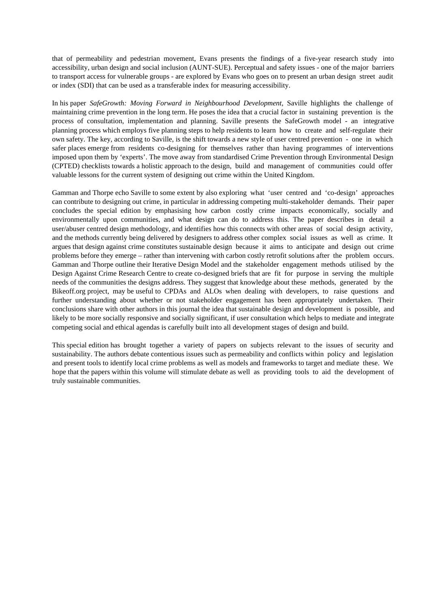that of permeability and pedestrian movement, Evans presents the findings of a five-year research study into accessibility, urban design and social inclusion (AUNT-SUE). Perceptual and safety issues - one of the major barriers to transport access for vulnerable groups - are explored by Evans who goes on to present an urban design street audit or index (SDI) that can be used as a transferable index for measuring accessibility.

In his paper *SafeGrowth: Moving Forward in Neighbourhood Development*, Saville highlights the challenge of maintaining crime prevention in the long term. He poses the idea that a crucial factor in sustaining prevention is the process of consultation, implementation and planning. Saville presents the SafeGrowth model - an integrative planning process which employs five planning steps to help residents to learn how to create and self-regulate their own safety. The key, according to Saville, is the shift towards a new style of user centred prevention - one in which safer places emerge from residents co-designing for themselves rather than having programmes of interventions imposed upon them by 'experts'. The move away from standardised Crime Prevention through Environmental Design (CPTED) checklists towards a holistic approach to the design, build and management of communities could offer valuable lessons for the current system of designing out crime within the United Kingdom.

Gamman and Thorpe echo Saville to some extent by also exploring what 'user centred and 'co-design' approaches can contribute to designing out crime, in particular in addressing competing multi-stakeholder demands. Their paper concludes the special edition by emphasising how carbon costly crime impacts economically, socially and environmentally upon communities, and what design can do to address this. The paper describes in detail a user/abuser centred design methodology, and identifies how this connects with other areas of social design activity, and the methods currently being delivered by designers to address other complex social issues as well as crime. It argues that design against crime constitutes sustainable design because it aims to anticipate and design out crime problems before they emerge – rather than intervening with carbon costly retrofit solutions after the problem occurs. Gamman and Thorpe outline their Iterative Design Model and the stakeholder engagement methods utilised by the Design Against Crime Research Centre to create co-designed briefs that are fit for purpose in serving the multiple needs of the communities the designs address. They suggest that knowledge about these methods, generated by the Bikeoff.org project, may be useful to CPDAs and ALOs when dealing with developers, to raise questions and further understanding about whether or not stakeholder engagement has been appropriately undertaken. Their conclusions share with other authors in this journal the idea that sustainable design and development is possible, and likely to be more socially responsive and socially significant, if user consultation which helps to mediate and integrate competing social and ethical agendas is carefully built into all development stages of design and build.

This special edition has brought together a variety of papers on subjects relevant to the issues of security and sustainability. The authors debate contentious issues such as permeability and conflicts within policy and legislation and present tools to identify local crime problems as well as models and frameworks to target and mediate these. We hope that the papers within this volume will stimulate debate as well as providing tools to aid the development of truly sustainable communities.